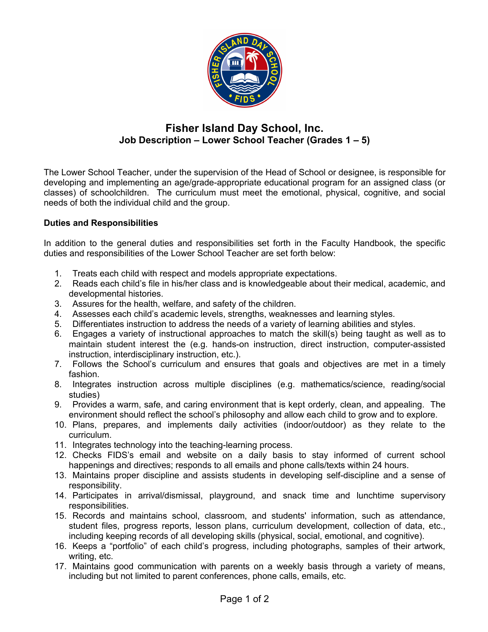

# **Fisher Island Day School, Inc. Job Description – Lower School Teacher (Grades 1 – 5)**

The Lower School Teacher, under the supervision of the Head of School or designee, is responsible for developing and implementing an age/grade-appropriate educational program for an assigned class (or classes) of schoolchildren. The curriculum must meet the emotional, physical, cognitive, and social needs of both the individual child and the group.

### **Duties and Responsibilities**

In addition to the general duties and responsibilities set forth in the Faculty Handbook, the specific duties and responsibilities of the Lower School Teacher are set forth below:

- 1. Treats each child with respect and models appropriate expectations.
- 2. Reads each child's file in his/her class and is knowledgeable about their medical, academic, and developmental histories.
- 3. Assures for the health, welfare, and safety of the children.
- 4. Assesses each child's academic levels, strengths, weaknesses and learning styles.
- 5. Differentiates instruction to address the needs of a variety of learning abilities and styles.
- 6. Engages a variety of instructional approaches to match the skill(s) being taught as well as to maintain student interest the (e.g. hands-on instruction, direct instruction, computer-assisted instruction, interdisciplinary instruction, etc.).
- 7. Follows the School's curriculum and ensures that goals and objectives are met in a timely fashion.
- 8. Integrates instruction across multiple disciplines (e.g. mathematics/science, reading/social studies)
- 9. Provides a warm, safe, and caring environment that is kept orderly, clean, and appealing. The environment should reflect the school's philosophy and allow each child to grow and to explore.
- 10. Plans, prepares, and implements daily activities (indoor/outdoor) as they relate to the curriculum.
- 11. Integrates technology into the teaching-learning process.
- 12. Checks FIDS's email and website on a daily basis to stay informed of current school happenings and directives; responds to all emails and phone calls/texts within 24 hours.
- 13. Maintains proper discipline and assists students in developing self-discipline and a sense of responsibility.
- 14. Participates in arrival/dismissal, playground, and snack time and lunchtime supervisory responsibilities.
- 15. Records and maintains school, classroom, and students' information, such as attendance, student files, progress reports, lesson plans, curriculum development, collection of data, etc., including keeping records of all developing skills (physical, social, emotional, and cognitive).
- 16. Keeps a "portfolio" of each child's progress, including photographs, samples of their artwork, writing, etc.
- 17. Maintains good communication with parents on a weekly basis through a variety of means, including but not limited to parent conferences, phone calls, emails, etc.